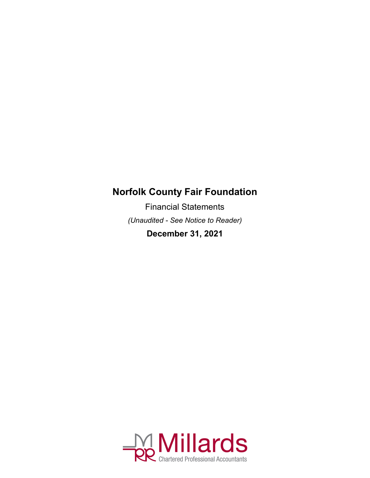Financial Statements *(Unaudited - See Notice to Reader)*

**December 31, 2021**

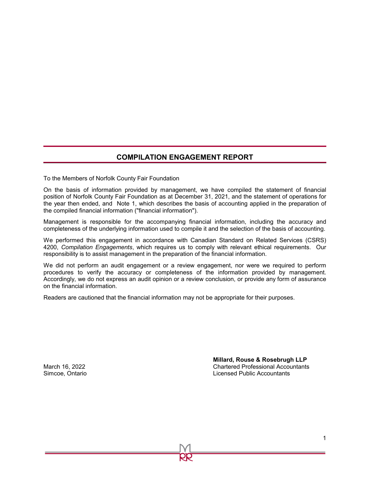#### **COMPILATION ENGAGEMENT REPORT**

To the Members of Norfolk County Fair Foundation

On the basis of information provided by management, we have compiled the statement of financial position of Norfolk County Fair Foundation as at December 31, 2021, and the statement of operations for the year then ended, and Note 1, which describes the basis of accounting applied in the preparation of the compiled financial information ("financial information").

Management is responsible for the accompanying financial information, including the accuracy and completeness of the underlying information used to compile it and the selection of the basis of accounting.

We performed this engagement in accordance with Canadian Standard on Related Services (CSRS) 4200, *Compilation Engagements*, which requires us to comply with relevant ethical requirements. Our responsibility is to assist management in the preparation of the financial information.

We did not perform an audit engagement or a review engagement, nor were we required to perform procedures to verify the accuracy or completeness of the information provided by management. Accordingly, we do not express an audit opinion or a review conclusion, or provide any form of assurance on the financial information.

Readers are cautioned that the financial information may not be appropriate for their purposes.

**Millard, Rouse & Rosebrugh LLP** March 16, 2022 Chartered Professional Accountants Simcoe, Ontario Licensed Public Accountants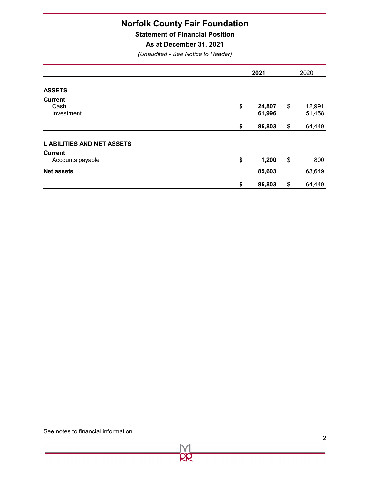**Statement of Financial Position**

**As at December 31, 2021**

*(Unaudited - See Notice to Reader)*

|                                                       | 2021                   | 2020                   |  |
|-------------------------------------------------------|------------------------|------------------------|--|
| <b>ASSETS</b><br><b>Current</b><br>Cash<br>Investment | \$<br>24,807<br>61,996 | \$<br>12,991<br>51,458 |  |
|                                                       | \$<br>86,803           | \$<br>64,449           |  |
| <b>LIABILITIES AND NET ASSETS</b>                     |                        |                        |  |
| <b>Current</b><br>Accounts payable                    | \$<br>1,200            | \$<br>800              |  |
| <b>Net assets</b>                                     | 85,603                 | 63,649                 |  |
|                                                       | \$<br>86,803           | \$<br>64,449           |  |

OO

See notes to financial information

Ĺ,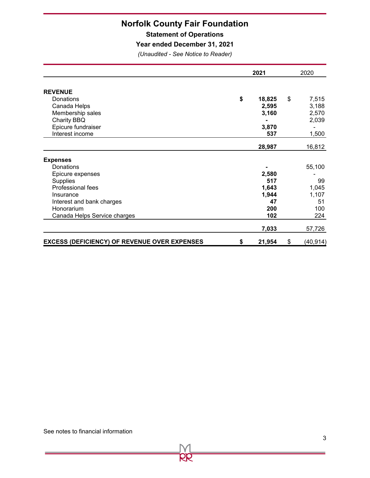**Statement of Operations**

**Year ended December 31, 2021**

*(Unaudited - See Notice to Reader)*

|                                                     |    | 2021   |    | 2020      |  |
|-----------------------------------------------------|----|--------|----|-----------|--|
| <b>REVENUE</b>                                      |    |        |    |           |  |
| Donations                                           | \$ | 18,825 | \$ | 7,515     |  |
| Canada Helps                                        |    | 2,595  |    | 3,188     |  |
| Membership sales                                    |    | 3,160  |    | 2,570     |  |
| Charity BBQ                                         |    |        |    | 2,039     |  |
| Epicure fundraiser                                  |    | 3,870  |    |           |  |
| Interest income                                     |    | 537    |    | 1,500     |  |
|                                                     |    | 28,987 |    | 16,812    |  |
| <b>Expenses</b>                                     |    |        |    |           |  |
| Donations                                           |    |        |    | 55,100    |  |
| Epicure expenses                                    |    | 2,580  |    |           |  |
| <b>Supplies</b>                                     |    | 517    |    | 99        |  |
| Professional fees                                   |    | 1,643  |    | 1,045     |  |
| Insurance                                           |    | 1,944  |    | 1,107     |  |
| Interest and bank charges                           |    | 47     |    | 51        |  |
| Honorarium                                          |    | 200    |    | 100       |  |
| Canada Helps Service charges                        |    | 102    |    | 224       |  |
|                                                     |    | 7,033  |    | 57,726    |  |
| <b>EXCESS (DEFICIENCY) OF REVENUE OVER EXPENSES</b> | \$ | 21,954 | \$ | (40, 914) |  |

pp

Ė.